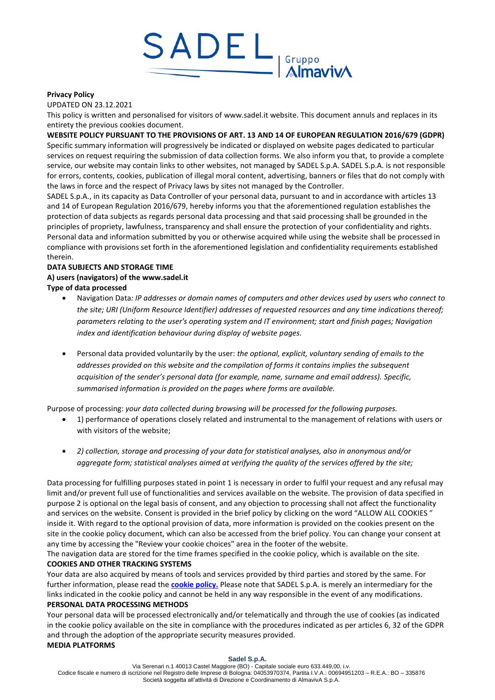

#### **Privacy Policy**

UPDATED ON 23.12.2021

This policy is written and personalised for visitors of www.sadel.it website. This document annuls and replaces in its entirety the previous cookies document.

### **WEBSITE POLICY PURSUANT TO THE PROVISIONS OF ART. 13 AND 14 OF EUROPEAN REGULATION 2016/679 (GDPR)**

Specific summary information will progressively be indicated or displayed on website pages dedicated to particular services on request requiring the submission of data collection forms. We also inform you that, to provide a complete service, our website may contain links to other websites, not managed by SADEL S.p.A. SADEL S.p.A. is not responsible for errors, contents, cookies, publication of illegal moral content, advertising, banners or files that do not comply with the laws in force and the respect of Privacy laws by sites not managed by the Controller.

SADEL S.p.A., in its capacity as Data Controller of your personal data, pursuant to and in accordance with articles 13 and 14 of European Regulation 2016/679, hereby informs you that the aforementioned regulation establishes the protection of data subjects as regards personal data processing and that said processing shall be grounded in the principles of propriety, lawfulness, transparency and shall ensure the protection of your confidentiality and rights. Personal data and information submitted by you or otherwise acquired while using the website shall be processed in compliance with provisions set forth in the aforementioned legislation and confidentiality requirements established therein.

# **DATA SUBJECTS AND STORAGE TIME A) users (navigators) of the www.sadel.it**

- **Type of data processed**
	- Navigation Data*: IP addresses or domain names of computers and other devices used by users who connect to the site; URI (Uniform Resource Identifier) addresses of requested resources and any time indications thereof; parameters relating to the user's operating system and IT environment; start and finish pages; Navigation index and identification behaviour during display of website pages.*
	- Personal data provided voluntarily by the user: *the optional, explicit, voluntary sending of emails to the addresses provided on this website and the compilation of forms it contains implies the subsequent acquisition of the sender's personal data (for example, name, surname and email address). Specific, summarised information is provided on the pages where forms are available.*

Purpose of processing: *your data collected during browsing will be processed for the following purposes.*

- 1) performance of operations closely related and instrumental to the management of relations with users or with visitors of the website;
- *2) collection, storage and processing of your data for statistical analyses, also in anonymous and/or aggregate form; statistical analyses aimed at verifying the quality of the services offered by the site;*

Data processing for fulfilling purposes stated in point 1 is necessary in order to fulfil your request and any refusal may limit and/or prevent full use of functionalities and services available on the website. The provision of data specified in purpose 2 is optional on the legal basis of consent, and any objection to processing shall not affect the functionality and services on the website. Consent is provided in the brief policy by clicking on the word "ALLOW ALL COOKIES" inside it. With regard to the optional provision of data, more information is provided on the cookies present on the site in the cookie policy document, which can also be accessed from the brief policy. You can change your consent at any time by accessing the "Review your cookie choices" area in the footer of the website.

The navigation data are stored for the time frames specified in the cookie policy, which is available on the site. **COOKIES AND OTHER TRACKING SYSTEMS**

Your data are also acquired by means of tools and services provided by third parties and stored by the same. For further information, please read the **[cookie policy.](https://www.fapceramiche.com/en/cookies-policy/)** Please note that SADEL S.p.A. is merely an intermediary for the links indicated in the cookie policy and cannot be held in any way responsible in the event of any modifications.

### **PERSONAL DATA PROCESSING METHODS**

Your personal data will be processed electronically and/or telematically and through the use of cookies (as indicated in the cookie policy available on the site in compliance with the procedures indicated as per articles 6, 32 of the GDPR and through the adoption of the appropriate security measures provided. **MEDIA PLATFORMS**

#### **Sadel S.p.A.**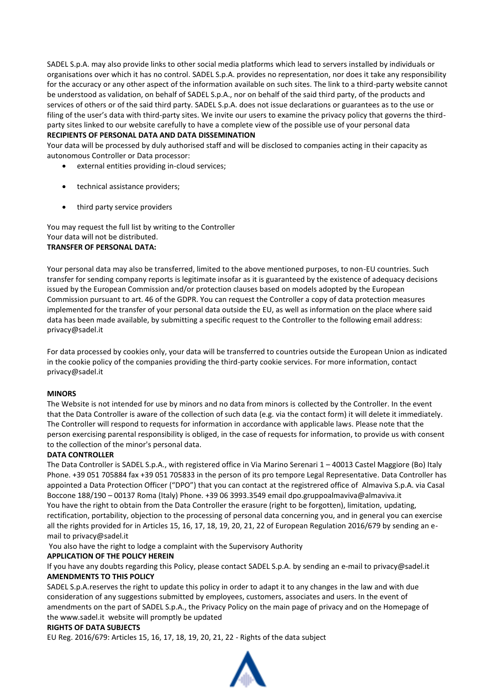SADEL S.p.A. may also provide links to other social media platforms which lead to servers installed by individuals or organisations over which it has no control. SADEL S.p.A. provides no representation, nor does it take any responsibility for the accuracy or any other aspect of the information available on such sites. The link to a third-party website cannot be understood as validation, on behalf of SADEL S.p.A., nor on behalf of the said third party, of the products and services of others or of the said third party. SADEL S.p.A. does not issue declarations or guarantees as to the use or filing of the user's data with third-party sites. We invite our users to examine the privacy policy that governs the thirdparty sites linked to our website carefully to have a complete view of the possible use of your personal data

### **RECIPIENTS OF PERSONAL DATA AND DATA DISSEMINATION**

Your data will be processed by duly authorised staff and will be disclosed to companies acting in their capacity as autonomous Controller or Data processor:

- external entities providing in-cloud services;
- technical assistance providers;
- third party service providers

You may request the full list by writing to the Controller Your data will not be distributed. **TRANSFER OF PERSONAL DATA:**

Your personal data may also be transferred, limited to the above mentioned purposes, to non-EU countries. Such transfer for sending company reports is legitimate insofar as it is guaranteed by the existence of adequacy decisions issued by the European Commission and/or protection clauses based on models adopted by the European Commission pursuant to art. 46 of the GDPR. You can request the Controller a copy of data protection measures implemented for the transfer of your personal data outside the EU, as well as information on the place where said data has been made available, by submitting a specific request to the Controller to the following email address: privacy@sadel.it

For data processed by cookies only, your data will be transferred to countries outside the European Union as indicated in the cookie policy of the companies providing the third-party cookie services. For more information, contact privacy@sadel.it

# **MINORS**

The Website is not intended for use by minors and no data from minors is collected by the Controller. In the event that the Data Controller is aware of the collection of such data (e.g. via the contact form) it will delete it immediately. The Controller will respond to requests for information in accordance with applicable laws. Please note that the person exercising parental responsibility is obliged, in the case of requests for information, to provide us with consent to the collection of the minor's personal data.

#### **DATA CONTROLLER**

The Data Controller is SADEL S.p.A., with registered office in Via Marino Serenari 1 – 40013 Castel Maggiore (Bo) Italy Phone. +39 051 705884 fax +39 051 705833 in the person of its pro tempore Legal Representative. Data Controller has appointed a Data Protection Officer ("DPO") that you can contact at the registrered office of Almaviva S.p.A. via Casal Boccone 188/190 – 00137 Roma (Italy) Phone. +39 06 3993.3549 email dpo.gruppoalmaviva@almaviva.it You have the right to obtain from the Data Controller the erasure (right to be forgotten), limitation, updating, rectification, portability, objection to the processing of personal data concerning you, and in general you can exercise all the rights provided for in Articles 15, 16, 17, 18, 19, 20, 21, 22 of European Regulation 2016/679 by sending an email to privacy@sadel.it

You also have the right to lodge a complaint with the Supervisory Authority

# **APPLICATION OF THE POLICY HEREIN**

If you have any doubts regarding this Policy, please contact SADEL S.p.A. by sending an e-mail to privacy@sadel.it **AMENDMENTS TO THIS POLICY**

SADEL S.p.A.reserves the right to update this policy in order to adapt it to any changes in the law and with due consideration of any suggestions submitted by employees, customers, associates and users. In the event of amendments on the part of SADEL S.p.A., the Privacy Policy on the main page of privacy and on the Homepage of the www.sadel.it website will promptly be updated

#### **RIGHTS OF DATA SUBJECTS**

EU Reg. 2016/679: Articles 15, 16, 17, 18, 19, 20, 21, 22 - Rights of the data subject